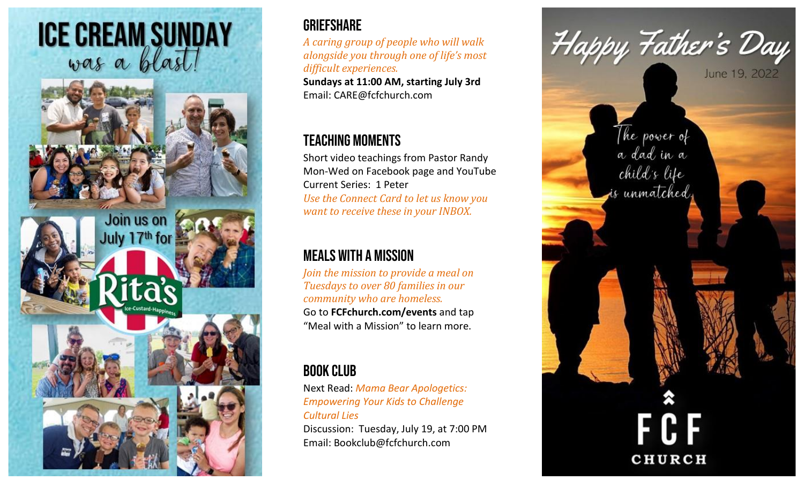

## **GRIEFSHARE**

*A caring group of people who will walk alongside you through one of life's most difficult experiences.*  **Sundays at 11:00 AM, starting July 3rd** Email: [CARE@fcfchurch.com](mailto:CARE@fcfchurch.com)

## Teaching Moments

Short video teachings from Pastor Randy Mon-Wed on Facebook page and YouTube Current Series: 1 Peter *Use the Connect Card to let us know you want to receive these in your INBOX.*

## Meals with a Mission

*Join the mission to provide a meal on Tuesdays to over 80 families in our community who are homeless.*  Go to **FCFchurch.com/events** and tap "Meal with a Mission" to learn more.

## Book club

Next Read: *Mama Bear Apologetics: Empowering Your Kids to Challenge Cultural Lies* Discussion: Tuesday, July 19, at 7:00 PM Email: [Bookclub@fcfchurch.com](mailto:Bookclub@fcfchurch.com)

Happy Father's Day The power of<br>a dad in a child's life is unmatched, **CHURCH**